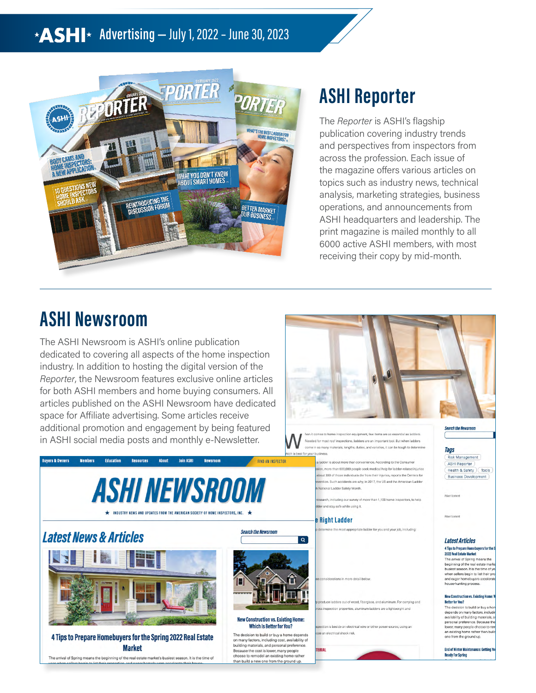### $\star$  ASH  $\star$  Advertising – July 1, 2022 - June 30, 2023



### **ASHI Reporter**

The *Reporter* is ASHI's flagship publication covering industry trends and perspectives from inspectors from across the profession. Each issue of the magazine offers various articles on topics such as industry news, technical analysis, marketing strategies, business operations, and announcements from ASHI headquarters and leadership. The print magazine is mailed monthly to all 6000 active ASHI members, with most receiving their copy by mid-month.

# **ASHI Newsroom**

The ASHI Newsroom is ASHI's online publication dedicated to covering all aspects of the home inspection industry. In addition to hosting the digital version of the *Reporter*, the Newsroom features exclusive online articles for both ASHI members and home buying consumers. All articles published on the ASHI Newsroom have dedicated space for Affiliate advertising. Some articles receive additional promotion and engagement by being featured in ASHI social media posts and monthly e-Newsletter.





than 500,000 neonle seek medical help for ladder-related inju bout 300 of those individuals die from their injuries, reports the Centers for ntion. Such accidents are why, in 2017, the US and the American Ladder stional Ladder Safety Month

rch, including our survey of more than 1,100 home inst and stay safe while using it

#### **Right Ladder**

**TERIA** 

ropriate ladder for you and your job, including

adders out of wood, fiberglass, and aluminum. For carrying and n properties, aluminum ladders are a lightweight and

an electrical shock risk



Health & Safety | Tools Business Development

#### **Latest Articles**

4 Tips to Prepare Homebuyers for the 2022 Real Estate Market The arrival of Spring means the<br>beginning of the real estate mark<br>busiest season. It is the time of y when sellers begin to list their pr and eager homebuyers acce house-hunting process.

#### **New Construction vs. Existing Home Better for You?**

**Better for You?**<br>The decision to build or buy a ho<br>depends on many factors, includ<br>availability of building materials,<br>personal preference. Because th<br>lower, many people choose to resp<br>with a bene arbitrate build an existing home rather than bu one from the ground up.

**End of Winter Maintenance: Gett** 

**Ready For Spring**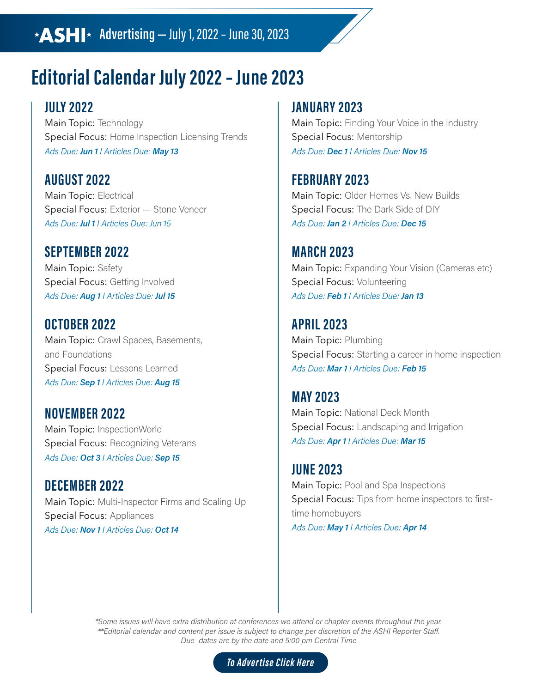### $\star$  AsHI  $\star$  Advertising – July 1, 2022 - June 30, 2023

## **Editorial Calendar July 2022 – June 2023**

#### **JULY 2022**

Main Topic: Technology Special Focus: Home Inspection Licensing Trends *Ads Due: Jun 1 I Articles Due: May 13*

**AUGUST 2022**  Main Topic: Electrical Special Focus: Exterior — Stone Veneer *Ads Due: Jul 1 I Articles Due: Jun 15*

#### **SEPTEMBER 2022**

Main Topic: Safety Special Focus: Getting Involved *Ads Due: Aug 1 I Articles Due: Jul 15*

### **OCTOBER 2022**

Main Topic: Crawl Spaces, Basements, and Foundations Special Focus: Lessons Learned *Ads Due: Sep 1 I Articles Due: Aug 15*

#### **NOVEMBER 2022**

Main Topic: InspectionWorld Special Focus: Recognizing Veterans *Ads Due: Oct 3 I Articles Due: Sep 15*

**DECEMBER 2022** Main Topic: Multi-Inspector Firms and Scaling Up Special Focus: Appliances *Ads Due: Nov 1 I Articles Due: Oct 14*

#### **JANUARY 2023**

Main Topic: Finding Your Voice in the Industry Special Focus: Mentorship *Ads Due: Dec 1 I Articles Due: Nov 15*

#### **FEBRUARY 2023**

Main Topic: Older Homes Vs. New Builds Special Focus: The Dark Side of DIY *Ads Due: Jan 2 I Articles Due: Dec 15*

#### **MARCH 2023**

Main Topic: Expanding Your Vision (Cameras etc) Special Focus: Volunteering *Ads Due: Feb 1 I Articles Due: Jan 13*

### **APRIL 2023**

Main Topic: Plumbing Special Focus: Starting a career in home inspection *Ads Due: Mar 1 I Articles Due: Feb 15*

### **MAY 2023**

Main Topic: National Deck Month Special Focus: Landscaping and Irrigation *Ads Due: Apr 1 I Articles Due: Mar 15*

#### **JUNE 2023**

Main Topic: Pool and Spa Inspections Special Focus: Tips from home inspectors to firsttime homebuyers *Ads Due: May 1 I Articles Due: Apr 14*

*\*Some issues will have extra distribution at conferences we attend or chapter events throughout the year. \*\*Editorial calendar and content per issue is subject to change per discretion of the ASHI Reporter Staff. Due dates are by the date and 5:00 pm Central Time*

*[To Adver tise Click Here](https://www.homeinspector.org/Resources/Media-Center/Insertion-Order)*